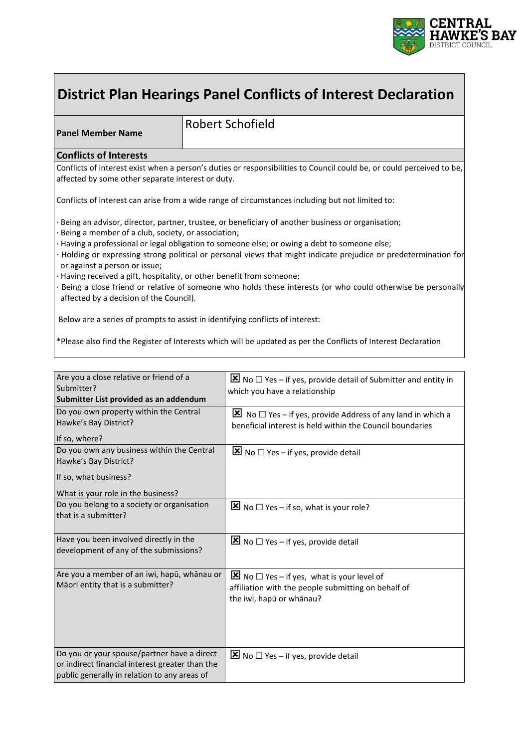

# **District Plan Hearings Panel Conflicts of Interest Declaration**

**Panel Member Name**

Robert Schofield

#### **Conflicts of Interests**

Conflicts of interest exist when a person's duties or responsibilities to Council could be, or could perceived to be, affected by some other separate interest or duty.

Conflicts of interest can arise from a wide range of circumstances including but not limited to:

Being an advisor, director, partner, trustee, or beneficiary of another business or organisation;

- · Being a member of a club, society, or association;
- · Having a professional or legal obligation to someone else; or owing a debt to someone else;
- · Holding or expressing strong political or personal views that might indicate prejudice or predetermination for or against a person or issue;
- Having received a gift, hospitality, or other benefit from someone;
- · Being a close friend or relative of someone who holds these interests (or who could otherwise be personally affected by a decision of the Council).

Below are a series of prompts to assist in identifying conflicts of interest:

\*Please also find the Register of Interests which will be updated as per the Conflicts of Interest Declaration

| Are you a close relative or friend of a<br>Submitter?                                                                                          | No $\square$ Yes – if yes, provide detail of Submitter and entity in<br>which you have a relationship                                                 |
|------------------------------------------------------------------------------------------------------------------------------------------------|-------------------------------------------------------------------------------------------------------------------------------------------------------|
| Submitter List provided as an addendum                                                                                                         |                                                                                                                                                       |
| Do you own property within the Central<br>Hawke's Bay District?                                                                                | No $\Box$ Yes – if yes, provide Address of any land in which a<br>beneficial interest is held within the Council boundaries                           |
| If so, where?                                                                                                                                  |                                                                                                                                                       |
| Do you own any business within the Central<br>Hawke's Bay District?                                                                            | No $\Box$ Yes – if yes, provide detail                                                                                                                |
| If so, what business?                                                                                                                          |                                                                                                                                                       |
| What is your role in the business?                                                                                                             |                                                                                                                                                       |
| Do you belong to a society or organisation<br>that is a submitter?                                                                             | $\mathbf{\Xi}$ No $\square$ Yes – if so, what is your role?                                                                                           |
| Have you been involved directly in the<br>development of any of the submissions?                                                               | No $\Box$ Yes – if yes, provide detail                                                                                                                |
| Are you a member of an iwi, hapū, whānau or<br>Māori entity that is a submitter?                                                               | $\boxed{\mathbf{X}}$ No $\Box$ Yes – if yes, what is your level of<br>affiliation with the people submitting on behalf of<br>the iwi, hapū or whānau? |
| Do you or your spouse/partner have a direct<br>or indirect financial interest greater than the<br>public generally in relation to any areas of | No $\Box$ Yes – if yes, provide detail                                                                                                                |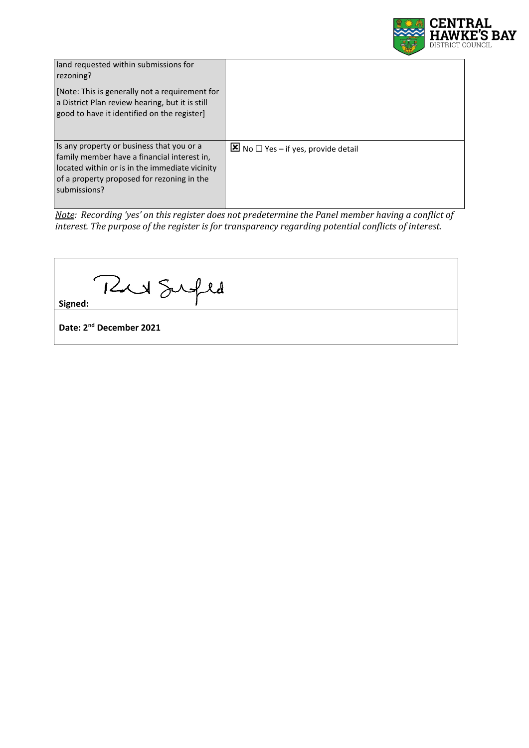

| land requested within submissions for<br>rezoning?                                                                                                                                                       |                                        |
|----------------------------------------------------------------------------------------------------------------------------------------------------------------------------------------------------------|----------------------------------------|
| [Note: This is generally not a requirement for<br>a District Plan review hearing, but it is still<br>good to have it identified on the register]                                                         |                                        |
| Is any property or business that you or a<br>family member have a financial interest in,<br>located within or is in the immediate vicinity<br>of a property proposed for rezoning in the<br>submissions? | No $\Box$ Yes – if yes, provide detail |

*Note: Recording 'yes' on this register does not predetermine the Panel member having a conflict of interest. The purpose of the register is for transparency regarding potential conflicts of interest.*

| 12 Sufld                            |  |
|-------------------------------------|--|
| Signed:                             |  |
| Date: 2 <sup>nd</sup> December 2021 |  |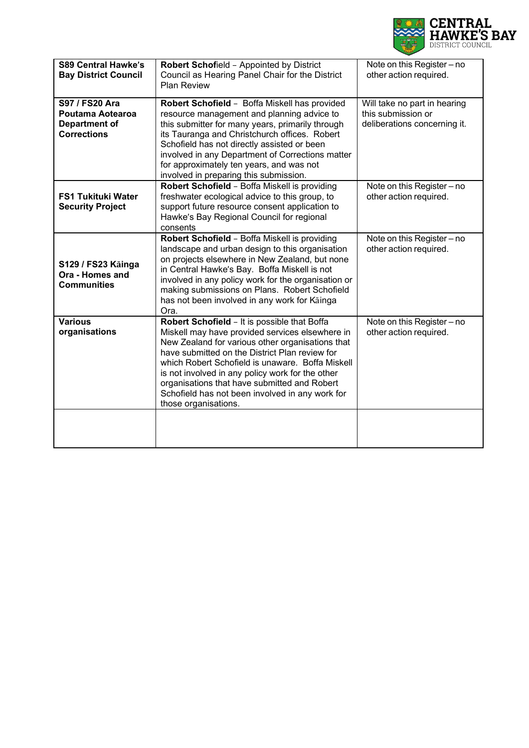

| <b>S89 Central Hawke's</b><br><b>Bay District Council</b>                        | Robert Schofield - Appointed by District<br>Council as Hearing Panel Chair for the District<br><b>Plan Review</b>                                                                                                                                                                                                                                                                                                                        | Note on this Register - no<br>other action required.                               |
|----------------------------------------------------------------------------------|------------------------------------------------------------------------------------------------------------------------------------------------------------------------------------------------------------------------------------------------------------------------------------------------------------------------------------------------------------------------------------------------------------------------------------------|------------------------------------------------------------------------------------|
| S97 / FS20 Ara<br>Poutama Aotearoa<br><b>Department of</b><br><b>Corrections</b> | Robert Schofield - Boffa Miskell has provided<br>resource management and planning advice to<br>this submitter for many years, primarily through<br>its Tauranga and Christchurch offices. Robert<br>Schofield has not directly assisted or been<br>involved in any Department of Corrections matter<br>for approximately ten years, and was not<br>involved in preparing this submission.                                                | Will take no part in hearing<br>this submission or<br>deliberations concerning it. |
| <b>FS1 Tukituki Water</b><br><b>Security Project</b>                             | Robert Schofield - Boffa Miskell is providing<br>freshwater ecological advice to this group, to<br>support future resource consent application to<br>Hawke's Bay Regional Council for regional<br>consents                                                                                                                                                                                                                               | Note on this Register - no<br>other action required.                               |
| S129 / FS23 Käinga<br>Ora - Homes and<br><b>Communities</b>                      | Robert Schofield - Boffa Miskell is providing<br>landscape and urban design to this organisation<br>on projects elsewhere in New Zealand, but none<br>in Central Hawke's Bay. Boffa Miskell is not<br>involved in any policy work for the organisation or<br>making submissions on Plans. Robert Schofield<br>has not been involved in any work for Kainga<br>Ora.                                                                       | Note on this Register - no<br>other action required.                               |
| <b>Various</b><br>organisations                                                  | Robert Schofield - It is possible that Boffa<br>Miskell may have provided services elsewhere in<br>New Zealand for various other organisations that<br>have submitted on the District Plan review for<br>which Robert Schofield is unaware. Boffa Miskell<br>is not involved in any policy work for the other<br>organisations that have submitted and Robert<br>Schofield has not been involved in any work for<br>those organisations. | Note on this Register - no<br>other action required.                               |
|                                                                                  |                                                                                                                                                                                                                                                                                                                                                                                                                                          |                                                                                    |